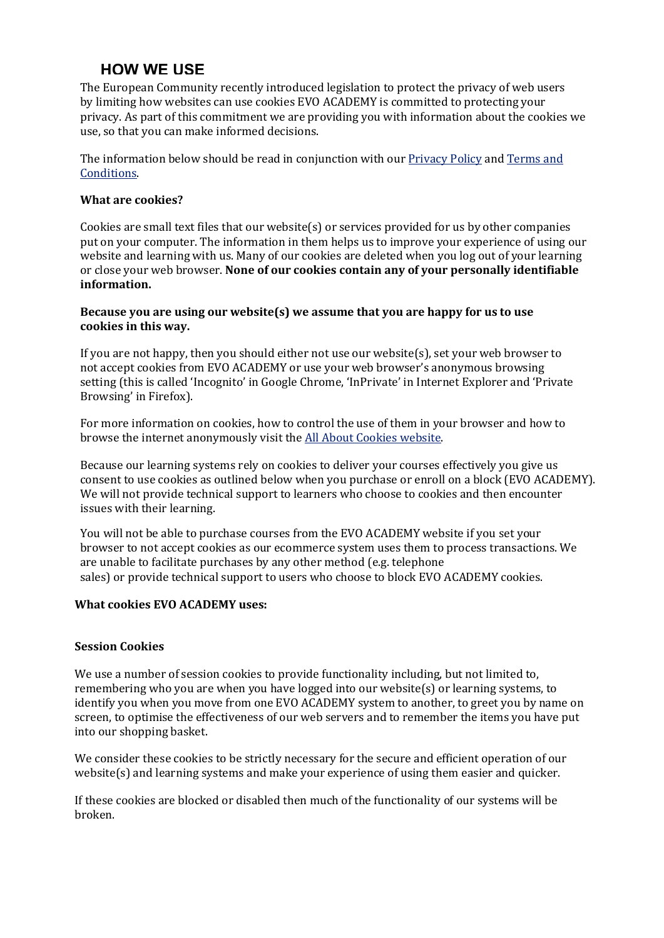# **HOW WE USE**

The European Community recently introduced legislation to protect the privacy of web users by limiting how websites can use cookies EVO ACADEMY is committed to protecting your privacy. As part of this commitment we are providing you with information about the cookies we use, so that you can make informed decisions.

The information below should be read in conjunction with our Privacy Policy and Terms and [Conditions.](http://www.learndirect.com/help/legal-information/terms-and-conditions/)

#### **What are cookies?**

Cookies are small text files that our website(s) or services provided for us by other companies put on your computer. The information in them helps us to improve your experience of using our website and learning with us. Many of our cookies are deleted when you log out of your learning or close your web browser. None of our cookies contain any of your personally identifiable **information.**

#### **Because you are using our website(s) we assume that you are happy for us to use** cookies in this way.

If you are not happy, then you should either not use our website(s), set your web browser to not accept cookies from EVO ACADEMY or use your web browser's anonymous browsing setting (this is called 'Incognito' in Google Chrome, 'InPrivate' in Internet Explorer and 'Private Browsing' in Firefox).

For more information on cookies, how to control the use of them in your browser and how to browse the internet anonymously visit the All About Cookies website.

Because our learning systems rely on cookies to deliver your courses effectively you give us consent to use cookies as outlined below when you purchase or enroll on a block (EVO ACADEMY). We will not provide technical support to learners who choose to cookies and then encounter issues with their learning.

You will not be able to purchase courses from the EVO ACADEMY website if you set your browser to not accept cookies as our ecommerce system uses them to process transactions. We are unable to facilitate purchases by any other method (e.g. telephone sales) or provide technical support to users who choose to block EVO ACADEMY cookies.

## **What cookies EVO ACADEMY uses:**

## **Session Cookies**

We use a number of session cookies to provide functionality including, but not limited to, remembering who you are when you have logged into our website(s) or learning systems, to identify you when you move from one EVO ACADEMY system to another, to greet you by name on screen, to optimise the effectiveness of our web servers and to remember the items you have put into our shopping basket.

We consider these cookies to be strictly necessary for the secure and efficient operation of our website(s) and learning systems and make your experience of using them easier and quicker.

If these cookies are blocked or disabled then much of the functionality of our systems will be broken.